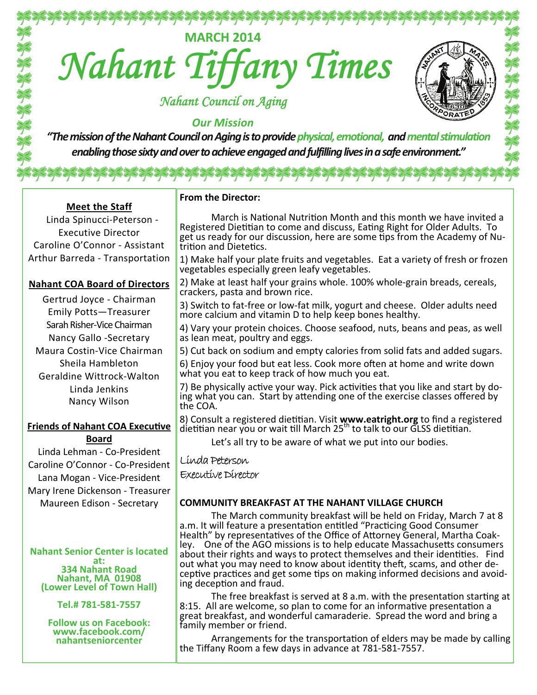**MARCH <sup>2014</sup>** *Nahant Tiffany Times*

 *Nahant Council on Aging* 

# *Our Mission*

*"ThemissionoftheNahantCouncilonAgingistoprovidephysical,emotional, andmentalstimulation enablingthosesixtyandovertoachieveengagedandfulfillinglivesinasafeenvironment."*

१३३३३३३३३३३३३३३३३३३३

**Meet the Staff** Linda Spinucci-Peterson - Executive Director Caroline O'Connor - Assistant Arthur Barreda - Transportation

## **Nahant COA Board of Directors**

Gertrud Joyce - Chairman Emily Potts—Treasurer Sarah Risher-Vice Chairman Nancy Gallo -Secretary Maura Costin-Vice Chairman Sheila Hambleton Geraldine Wittrock-Walton Linda Jenkins Nancy Wilson

#### **Friends of Nahant COA Executive Board**

Linda Lehman - Co-President Caroline O'Connor - Co-President Lana Mogan - Vice-President Mary Irene Dickenson - Treasurer Maureen Edison - Secretary

# **Nahant Senior Center is located**

at:<br>**334 Nahant Road <sup>334</sup> Nahant Road Nahant, MA <sup>01908</sup> (Lower Level of Town Hall) Tel.# <sup>781</sup>‐581‐<sup>7557</sup>**

**Follow us on Facebook: www.facebook.com/ nahantseniorcenter**

### **From the Director:**

March is National Nutrition Month and this month we have invited a Registered Dietitian to come and discuss, Eating Right for Older Adults. To get us ready for our discussion, here are some tips from the Academy of Nutrition and Dietetics.

 $OBA$ 

1) Make half your plate fruits and vegetables. Eat a variety of fresh or frozen vegetables especially green leafy vegetables.

2) Make at least half your grains whole. 100% whole-grain breads, cereals, crackers, pasta and brown rice.

3) Switch to fat-free or low-fat milk, yogurt and cheese. Older adults need more calcium and vitamin D to help keep bones healthy.

4) Vary your protein choices. Choose seafood, nuts, beans and peas, as well as lean meat, poultry and eggs.

5) Cut back on sodium and empty calories from solid fats and added sugars.

6) Enjoy your food but eat less. Cook more often at home and write down what you eat to keep track of how much you eat.

7) Be physically active your way. Pick activities that you like and start by doing what you can. Start by attending one of the exercise classes offered by the COA.

8) Consult a registered dietitian. Visit www.eatright.org to find a registered dietitian near you or wait till March  $25<sup>tn</sup>$  to talk to our GLSS dietitian.

Let's all try to be aware of what we put into our bodies.

# Linda Peterson

Executive Director

## **COMMUNITY BREAKFAST AT THE NAHANT VILLAGE CHURCH**

The March community breakfast will be held on Friday, March 7 at 8 a.m. It will feature a presentation entitled "Practicing Good Consumer Health" by representatives of the Office of Attorney General, Martha Coakley. One of the AGO missions is to help educate Massachusetts consumers about their rights and ways to protect themselves and their identities. Find out what you may need to know about identity theft, scams, and other deceptive practices and get some tips on making informed decisions and avoiding deception and fraud.

The free breakfast is served at 8 a.m. with the presentation starting at 8:15. All are welcome, so plan to come for an informative presentation a great breakfast, and wonderful camaraderie. Spread the word and bring a family member or friend.

Arrangements for the transportation of elders may be made by calling the Tiffany Room a few days in advance at 781-581-7557.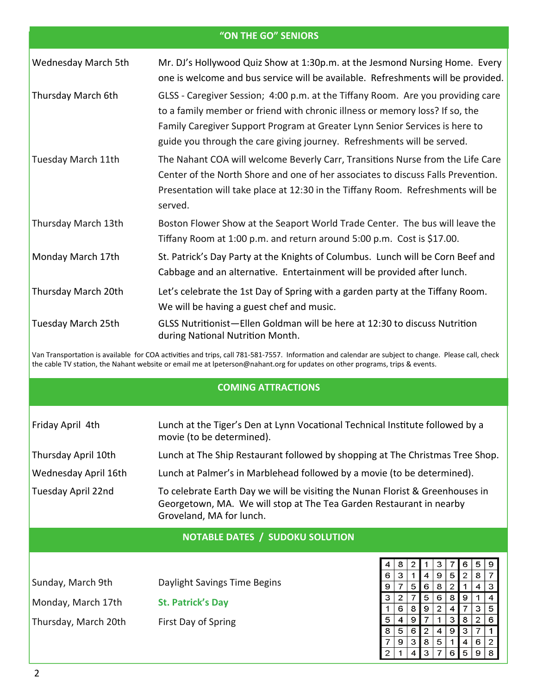|                           | "ON THE GO" SENIORS                                                                                                                                                                                                                                                                                                       |
|---------------------------|---------------------------------------------------------------------------------------------------------------------------------------------------------------------------------------------------------------------------------------------------------------------------------------------------------------------------|
| Wednesday March 5th       | Mr. DJ's Hollywood Quiz Show at 1:30p.m. at the Jesmond Nursing Home. Every<br>one is welcome and bus service will be available. Refreshments will be provided.                                                                                                                                                           |
| Thursday March 6th        | GLSS - Caregiver Session; 4:00 p.m. at the Tiffany Room. Are you providing care<br>to a family member or friend with chronic illness or memory loss? If so, the<br>Family Caregiver Support Program at Greater Lynn Senior Services is here to<br>guide you through the care giving journey. Refreshments will be served. |
| Tuesday March 11th        | The Nahant COA will welcome Beverly Carr, Transitions Nurse from the Life Care<br>Center of the North Shore and one of her associates to discuss Falls Prevention.<br>Presentation will take place at 12:30 in the Tiffany Room. Refreshments will be<br>served.                                                          |
| Thursday March 13th       | Boston Flower Show at the Seaport World Trade Center. The bus will leave the<br>Tiffany Room at 1:00 p.m. and return around 5:00 p.m. Cost is \$17.00.                                                                                                                                                                    |
| Monday March 17th         | St. Patrick's Day Party at the Knights of Columbus. Lunch will be Corn Beef and<br>Cabbage and an alternative. Entertainment will be provided after lunch.                                                                                                                                                                |
| Thursday March 20th       | Let's celebrate the 1st Day of Spring with a garden party at the Tiffany Room.<br>We will be having a guest chef and music.                                                                                                                                                                                               |
| <b>Tuesday March 25th</b> | GLSS Nutritionist-Ellen Goldman will be here at 12:30 to discuss Nutrition<br>during National Nutrition Month.                                                                                                                                                                                                            |
|                           | Van Transportation is available for COA activities and trips, call 781-581-7557. Information and calendar are subject to change. Please call, check<br>the cable TV station, the Nahant website or email me at Ipeterson@nahant.org for updates on other programs, trips & events.                                        |
|                           | <b>COMING ATTRACTIONS</b>                                                                                                                                                                                                                                                                                                 |

| Friday April 4th     | Lunch at the Tiger's Den at Lynn Vocational Technical Institute followed by a<br>movie (to be determined).                                                                       |
|----------------------|----------------------------------------------------------------------------------------------------------------------------------------------------------------------------------|
| Thursday April 10th  | Lunch at The Ship Restaurant followed by shopping at The Christmas Tree Shop.                                                                                                    |
| Wednesday April 16th | Lunch at Palmer's in Marblehead followed by a movie (to be determined).                                                                                                          |
| Tuesday April 22nd   | To celebrate Earth Day we will be visiting the Nunan Florist & Greenhouses in<br>Georgetown, MA. We will stop at The Tea Garden Restaurant in nearby<br>Groveland, MA for lunch. |

# **NOTABLE DATES / SUDOKU SOLUTION**

| Sunday, March 9th    | Daylight Savings Time Begins |
|----------------------|------------------------------|
| Monday, March 17th   | <b>St. Patrick's Day</b>     |
| Thursday, March 20th | First Day of Spring          |

| 4<br>6<br>5      | 9<br>8 | 5<br>2 | 2 | 8<br>4 | з |
|------------------|--------|--------|---|--------|---|
|                  |        |        |   |        |   |
|                  |        |        |   |        |   |
|                  | 6      | 8      | 9 |        | 4 |
| 9                | 2      | 4      | 7 | з      | 5 |
|                  | 1      | з      | 8 | 2      | 6 |
| 2                | 4      | 9      | з | 7      |   |
| 8                | 5      |        | 4 | 6      | 2 |
| З                |        | 6      | 5 | 9      | 8 |
| 8<br>9<br>6<br>4 | з      |        |   |        |   |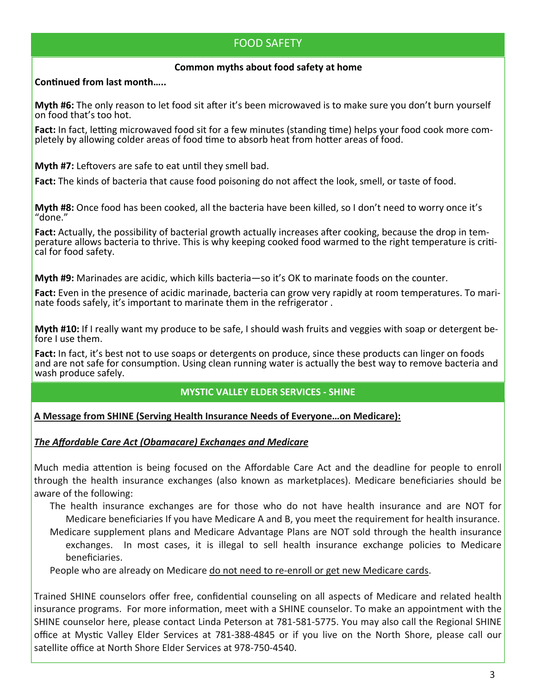# FOOD SAFETY

## **Common myths about food safety at home**

## **ConƟnued from last month…..**

**Myth #6:** The only reason to let food sit after it's been microwaved is to make sure you don't burn yourself on food that's too hot.

**Fact:** In fact, letting microwaved food sit for a few minutes (standing time) helps your food cook more completely by allowing colder areas of food time to absorb heat from hotter areas of food.

**Myth #7:** Leftovers are safe to eat until they smell bad.

**Fact:** The kinds of bacteria that cause food poisoning do not affect the look, smell, or taste of food.

**Myth #8:** Once food has been cooked, all the bacteria have been killed, so I don't need to worry once it's "done."

**Fact:** Actually, the possibility of bacterial growth actually increases after cooking, because the drop in temperature allows bacteria to thrive. This is why keeping cooked food warmed to the right [temperature](http://www.foodsafety.gov/keep/basics/cook/index.html) is criti-<br>cal for food [safety](http://www.foodsafety.gov/keep/basics/cook/index.html).

**Myth #9:** Marinades are acidic, which kills bacteria—so it's OK to marinate foods on the counter.

**Fact:** Even in the presence of acidic marinade, bacteria can grow very rapidly at room temperatures. To marinate foods safely, it's important to marinate them in the [refrigerator](http://www.foodsafety.gov/keep/basics/chill/index.html) .

**Myth #10:** If I really want my produce to be safe, I should wash fruits and veggies with soap or detergent before I use them.

**Fact:** In fact, it's best not to use soaps or detergents on produce, since these products can linger on foods and are not safe for consumption. Using clean running water is actually the best way to remove [bacteria](http://www.foodsafety.gov/keep/basics/clean/index.html) and wash [produce](http://www.foodsafety.gov/keep/basics/clean/index.html) safely.

## **MYSTIC VALLEY ELDER SERVICES ‐ SHINE**

## **A Message from SHINE (Serving Health Insurance Needs of Everyone…on Medicare):**

## *The Affordable Care Act (Obamacare) Exchanges and Medicare*

Much media attention is being focused on the Affordable Care Act and the deadline for people to enroll through the health insurance exchanges (also known as marketplaces). Medicare beneficiaries should be aware of the following:

The health insurance exchanges are for those who do not have health insurance and are NOT for Medicare beneficiaries If you have Medicare A and B, you meet the requirement for health insurance. Medicare supplement plans and Medicare Advantage Plans are NOT sold through the health insurance exchanges. In most cases, it is illegal to sell health insurance exchange policies to Medicare beneficiaries.

People who are already on Medicare do not need to re-enroll or get new Medicare cards.

Trained SHINE counselors offer free, confidential counseling on all aspects of Medicare and related health insurance programs. For more information, meet with a SHINE counselor. To make an appointment with the SHINE counselor here, please contact Linda Peterson at 781-581-5775. You may also call the Regional SHINE office at MysƟc Valley Elder Services at 781-388-4845 or if you live on the North Shore, please call our satellite office at North Shore Elder Services at 978-750-4540.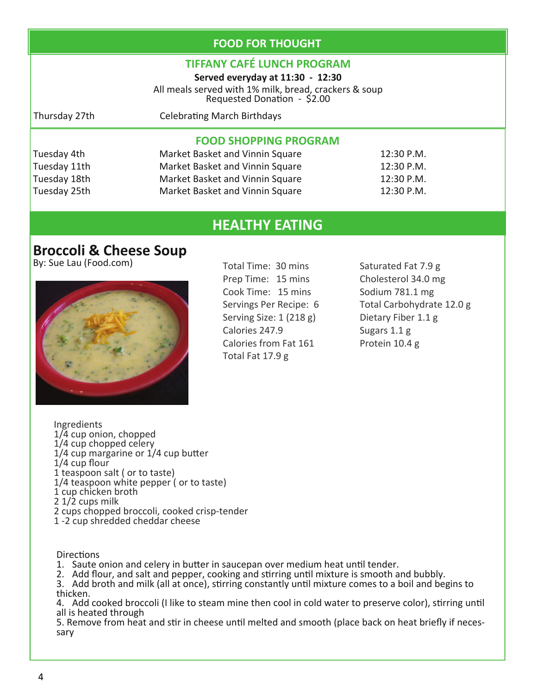# **FOOD FOR THOUGHT**

# **TIFFANY CAFÉ LUNCH PROGRAM**

**Served everyday at 11:30 ‐ 12:30** All meals served with 1% milk, bread, crackers & soup<br>Requested Donation - \$2.00

Thursday 27th **Celebrating March Birthdays** 

# **FOOD SHOPPING PROGRAM**

| Market Basket and Vinnin Square | 12:30 P.M.   |
|---------------------------------|--------------|
| Market Basket and Vinnin Square | 12:30 P.M.   |
| Market Basket and Vinnin Square | 12:30 P.M.   |
| Market Basket and Vinnin Square | $12:30$ P.M. |
|                                 |              |

# **HEALTHY EATING**

# **Broccoli & Cheese Soup**

By: Sue Lau (Food.com) Total Time: 30 mins



Prep Time: 15 mins Cook Time: 15 mins Servings Per Recipe: 6 Serving Size: 1 (218 g) Calories 247.9 Calories from Fat 161 Total Fat 17.9 g

Saturated Fat 7.9 g Cholesterol 34.0 mg Sodium 781.1 mg Total Carbohydrate 12.0 g Dietary Fiber 1.1 g Sugars 1.1 g Protein 10.4 g

Ingredients<br>1/4 cup onion, chopped<br>1/4 cup chopped celery<br>1/4 cup margarine or 1/4 cup butter<br>1/4 cup flour<br>1 teaspoon salt ( or to taste)<br>1/4 teaspoon white pepper ( or to taste)<br>1 cup chicken broth<br>2 1/2 cups milk<br>2 cups

**Directions** 

1. Saute onion and celery in butter in saucepan over medium heat until tender.

2. Add flour, and salt and pepper, cooking and stirring until mixture is smooth and bubbly.

3. Add broth and milk (all at once), stirring constantly until mixture comes to a boil and begins to thicken.

4. Add cooked broccoli (I like to steam mine then cool in cold water to preserve color), stirring until all is heated through

5. Remove from heat and stir in cheese until melted and smooth (place back on heat briefly if necessary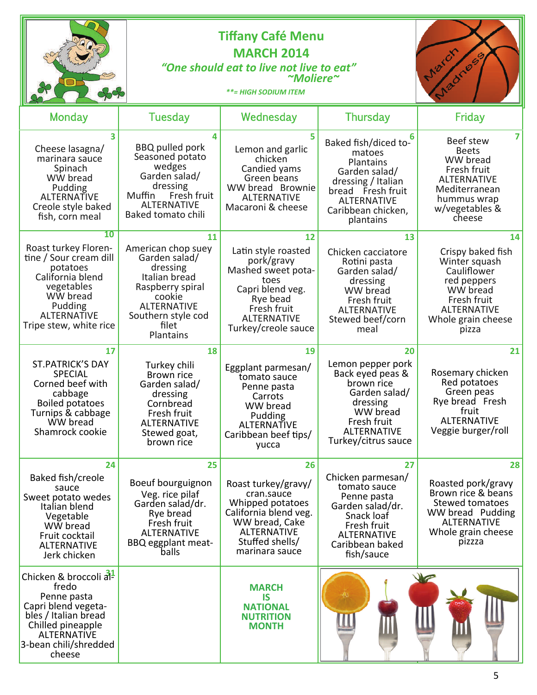|                                                                                                                                                                                         |                                                                                                                                                                        | <b>Tiffany Café Menu</b><br><b>MARCH 2014</b><br>"One should eat to live not live to eat"<br>$~\sim$ Moliere $\sim$<br><b>**= HIGH SODIUM ITEM</b>                |                                                                                                                                                                  | March<br>Madness                                                                                                                                       |
|-----------------------------------------------------------------------------------------------------------------------------------------------------------------------------------------|------------------------------------------------------------------------------------------------------------------------------------------------------------------------|-------------------------------------------------------------------------------------------------------------------------------------------------------------------|------------------------------------------------------------------------------------------------------------------------------------------------------------------|--------------------------------------------------------------------------------------------------------------------------------------------------------|
| <b>Monday</b>                                                                                                                                                                           | Tuesday                                                                                                                                                                | Wednesday                                                                                                                                                         | <b>Thursday</b>                                                                                                                                                  | Friday                                                                                                                                                 |
| 3<br>Cheese lasagna/<br>marinara sauce<br>Spinach<br>WW bread<br>Pudding<br><b>ALTERNATIVE</b><br>Creole style baked<br>fish, corn meal                                                 | 4<br><b>BBQ</b> pulled pork<br>Seasoned potato<br>wedges<br>Garden salad/<br>dressing<br>Fresh fruit<br>Muffin<br><b>ALTERNATIVE</b><br>Baked tomato chili             | Lemon and garlic<br>chicken<br>Candied yams<br>Green beans<br>WW bread Brownie<br><b>ALTERNATIVE</b><br>Macaroni & cheese                                         | Baked fish/diced to-<br>matoes<br>Plantains<br>Garden salad/<br>dressing / Italian<br>bread Fresh fruit<br><b>ALTERNATIVE</b><br>Caribbean chicken,<br>plantains | 7<br>Beef stew<br><b>Beets</b><br>WW bread<br>Fresh fruit<br><b>ALTERNATIVE</b><br>Mediterranean<br>hummus wrap<br>w/vegetables &<br>cheese            |
| 10<br>Roast turkey Floren-<br>tine / Sour cream dill<br>potatoes<br>California blend<br>vegetables<br>WW bread<br>Pudding<br><b>ALTERNATIVE</b><br>Tripe stew, white rice               | 11<br>American chop suey<br>Garden salad/<br>dressing<br>Italian bread<br>Raspberry spiral<br>cookie<br><b>ALTERNATIVE</b><br>Southern style cod<br>filet<br>Plantains | 12<br>Latin style roasted<br>pork/gravy<br>Mashed sweet pota-<br>toes<br>Capri blend veg.<br>Rye bead<br>Fresh fruit<br><b>ALTERNATIVE</b><br>Turkey/creole sauce | 13<br>Chicken cacciatore<br>Rotini pasta<br>Garden salad/<br>dressing<br>WW bread<br>Fresh fruit<br><b>ALTERNATIVE</b><br>Stewed beef/corn<br>meal               | 14<br>Crispy baked fish<br>Winter squash<br>Cauliflower<br>red peppers<br>WW bread<br>Fresh fruit<br><b>ALTERNATIVE</b><br>Whole grain cheese<br>pizza |
| 17<br><b>ST.PATRICK'S DAY</b><br><b>SPECIAL</b><br>Corned beef with<br>cabbage<br><b>Boiled potatoes</b><br>Turnips & cabbage<br>WW bread<br>Shamrock cookie                            | 18<br>Turkey chili<br>Brown rice<br>Garden salad/<br>dressing<br>Cornbread<br>Fresh fruit<br><b>ALTERNATIVE</b><br>Stewed goat,<br>brown rice                          | 19<br>Eggplant parmesan/<br>tomato sauce<br>Penne pasta<br>Carrots<br>WW bread<br>Pudding<br>ALTERNATIVE<br>Caribbean beef tips/<br>yucca                         | 20<br>Lemon pepper pork<br>Back eyed peas &<br>brown rice<br>Garden salad/<br>dressing<br>WW bread<br>Fresh fruit<br><b>ALTERNATIVE</b><br>Turkey/citrus sauce   | 21<br>Rosemary chicken<br>Red potatoes<br>Green peas<br>Rye bread Fresh<br>fruit<br><b>ALTERNATIVE</b><br>Veggie burger/roll                           |
| 24<br>Baked fish/creole<br>sauce<br>Sweet potato wedes<br>Italian blend<br>Vegetable<br>WW bread<br>Fruit cocktail<br><b>ALTERNATIVE</b><br>Jerk chicken                                | 25<br>Boeuf bourguignon<br>Veg. rice pilaf<br>Garden salad/dr.<br>Rye bread<br>Fresh fruit<br><b>ALTERNATIVE</b><br><b>BBQ eggplant meat-</b><br>balls                 | 26<br>Roast turkey/gravy/<br>cran.sauce<br>Whipped potatoes<br>California blend veg.<br>WW bread, Cake<br><b>ALTERNATIVE</b><br>Stuffed shells/<br>marinara sauce | 27<br>Chicken parmesan/<br>tomato sauce<br>Penne pasta<br>Garden salad/dr.<br>Snack loaf<br>Fresh fruit<br><b>ALTERNATIVE</b><br>Caribbean baked<br>fish/sauce   | 28<br>Roasted pork/gravy<br>Brown rice & beans<br><b>Stewed tomatoes</b><br>WW bread Pudding<br><b>ALTERNATIVE</b><br>Whole grain cheese<br>pizzza     |
| Chicken & broccoli $\frac{31}{21}$<br>fredo<br>Penne pasta<br>Capri blend vegeta-<br>bles / Italian bread<br>Chilled pineapple<br><b>ALTERNATIVE</b><br>3-bean chili/shredded<br>cheese |                                                                                                                                                                        | <b>MARCH</b><br><b>IS</b><br><b>NATIONAL</b><br><b>NUTRITION</b><br><b>MONTH</b>                                                                                  |                                                                                                                                                                  |                                                                                                                                                        |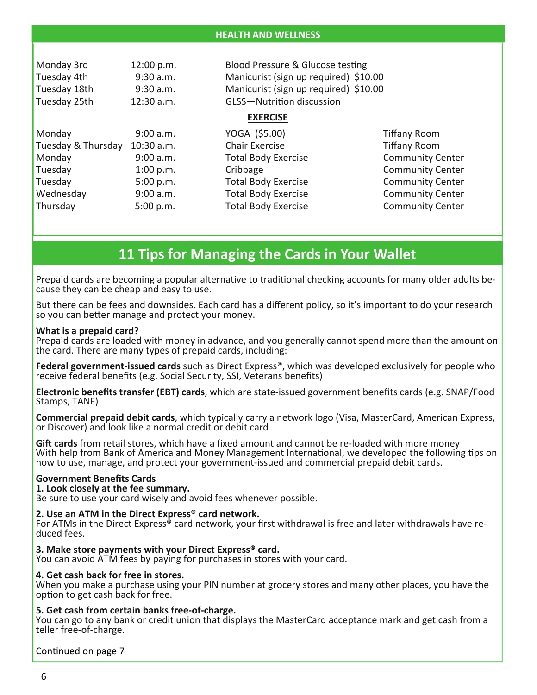| Monday 3rd<br>Tuesday 4th<br>Tuesday 18th<br>Tuesday 25th | 12:00 p.m.<br>$9:30$ a.m.<br>9:30 a.m.<br>12:30 a.m. | Blood Pressure & Glucose testing<br>Manicurist (sign up required) \$10.00<br>Manicurist (sign up required) \$10.00<br><b>GLSS-Nutrition discussion</b> |                         |
|-----------------------------------------------------------|------------------------------------------------------|--------------------------------------------------------------------------------------------------------------------------------------------------------|-------------------------|
|                                                           |                                                      | <b>EXERCISE</b>                                                                                                                                        |                         |
| Monday                                                    | 9:00 a.m.                                            | YOGA (\$5.00)                                                                                                                                          | <b>Tiffany Room</b>     |
| Tuesday & Thursday                                        | 10:30 a.m.                                           | <b>Chair Exercise</b>                                                                                                                                  | <b>Tiffany Room</b>     |
| Monday                                                    | 9:00 a.m.                                            | <b>Total Body Exercise</b>                                                                                                                             | <b>Community Center</b> |
| Tuesday                                                   | 1:00 p.m.                                            | Cribbage                                                                                                                                               | <b>Community Center</b> |
| Tuesday                                                   | 5:00 p.m.                                            | <b>Total Body Exercise</b>                                                                                                                             | <b>Community Center</b> |
| Wednesday                                                 | 9:00 a.m.                                            | <b>Total Body Exercise</b>                                                                                                                             | <b>Community Center</b> |
| Thursday                                                  | 5:00 p.m.                                            | <b>Total Body Exercise</b>                                                                                                                             | <b>Community Center</b> |

# **11 Tips for Managing the Cards in Your Wallet**

Prepaid cards are becoming a popular alternative to traditional checking accounts for many older adults because they can be cheap and easy to use.

But there can be fees and downsides. Each card has a different policy, so it's important to do your research so you can better manage and protect your money.

### **What is a prepaid card?**

Prepaid cards are loaded with money in advance, and you generally cannot spend more than the amount on the card. There are many types of prepaid cards, including:

**Federal government‐issued cards** such as Direct Express®, which was developed exclusively for people who receive federal benefits (e.g. Social Security, SSI, Veterans benefits)

**Electronic benefits transfer (EBT) cards**, which are state-issued government benefits cards (e.g. SNAP/Food Stamps, TANF)

**Commercial prepaid debit cards**, which typically carry a network logo (Visa, MasterCard, American Express, or Discover) and look like a normal credit or debit card

**Gift cards** from retail stores, which have a fixed amount and cannot be re-loaded with more money With help from Bank of America and Money Management International, we developed the following tips on how to use, manage, and protect your government-issued and commercial prepaid debit cards.

### **Government Benefits Cards**

### **1. Look closely at the fee summary.**

Be sure to use your card wisely and avoid fees whenever possible.

### **2. Use an ATM in the Direct Express® card network.**

For ATMs in the Direct Express® card network, your first withdrawal is free and later withdrawals have reduced fees.

### **3. Make store payments with your Direct Express® card.**

You can avoid ATM fees by paying for purchases in stores with your card.

### **4. Get cash back for free in stores.**

When you make a purchase using your PIN number at grocery stores and many other places, you have the option to get cash back for free.

### **5. Get cash from certain banks free‐of‐charge.**

You can go to any bank or credit union that displays the MasterCard acceptance mark and get cash from a teller free-of-charge.

Continued on page 7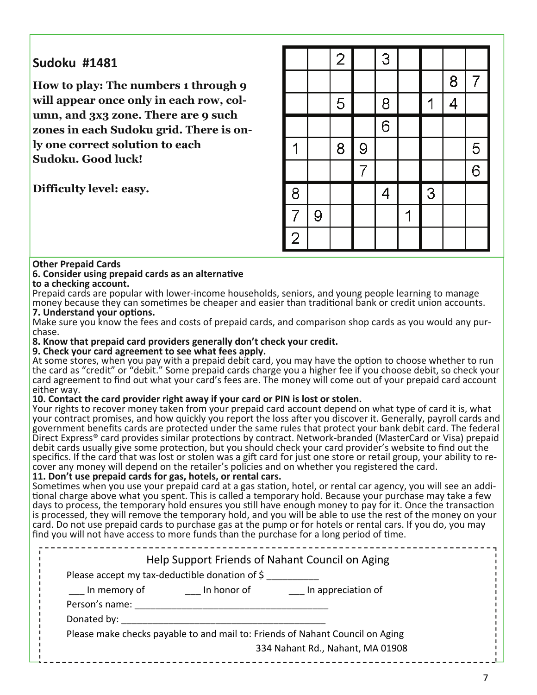# **Sudoku #1481**

**How to play: The numbers 1 through 9 will appear once only in each row, column, and 3x3 zone. There are 9 such zones in each Sudoku grid. There is only one correct solution to each Sudoku. Good luck!** 

**Difficulty level: easy.** 

|                |   | $\overline{2}$ |                | 3              |   |   |                |                |
|----------------|---|----------------|----------------|----------------|---|---|----------------|----------------|
|                |   |                |                |                |   |   | 8              | $\overline{7}$ |
|                |   | 5              |                | 8              |   | 1 | $\overline{4}$ |                |
|                |   |                |                | $\overline{6}$ |   |   |                |                |
|                |   | 8              | 9              |                |   |   |                | $\overline{5}$ |
|                |   |                | $\overline{7}$ |                |   |   |                | $\overline{6}$ |
| $\overline{8}$ |   |                |                | $\overline{4}$ |   | 3 |                |                |
| $\overline{7}$ | 9 |                |                |                | 1 |   |                |                |
| $\overline{2}$ |   |                |                |                |   |   |                |                |

### **Other Prepaid Cards**

#### **6. Consider using prepaid cards as an alternaƟve to a checking account.**

Prepaid cards are popular with lower-income households, seniors, and young people learning to manage money because they can sometimes be cheaper and easier than traditional bank or credit union accounts. **7. Understand your opƟons.**

Make sure you know the fees and costs of prepaid cards, and comparison shop cards as you would any purchase.

**8. Know that prepaid card providers generally don't check your credit.**

### **9. Check your card agreement to see what fees apply.**

At some stores, when you pay with a prepaid debit card, you may have the option to choose whether to run the card as "credit" or "debit." Some prepaid cards charge you a higher fee if you choose debit, so check your card agreement to find out what your card's fees are. The money will come out of your prepaid card account either way.

## **10. Contact the card provider right away if your card or PIN is lost or stolen.**

Your rights to recover money taken from your prepaid card account depend on what type of card it is, what your contract promises, and how quickly you report the loss after you discover it. Generally, payroll cards and government benefits cards are protected under the same rules that protect your bank debit card. The federal Direct Express® card provides similar protections by contract. Network-branded (MasterCard or Visa) prepaid debit cards usually give some protection, but you should check your card provider's website to find out the specifics. If the card that was lost or stolen was a gift card for just one store or retail group, your ability to recover any money will depend on the retailer's policies and on whether you registered the card.

### **11. Don't use prepaid cards for gas, hotels, or rental cars.**

Sometimes when you use your prepaid card at a gas station, hotel, or rental car agency, you will see an additional charge above what you spent. This is called a temporary hold. Because your purchase may take a few days to process, the temporary hold ensures you still have enough money to pay for it. Once the transaction is processed, they will remove the temporary hold, and you will be able to use the rest of the money on your card. Do not use prepaid cards to purchase gas at the pump or for hotels or rental cars. If you do, you may find you will not have access to more funds than the purchase for a long period of time.

| Please accept my tax-deductible donation of \$ |             | Help Support Friends of Nahant Council on Aging                                                                   |
|------------------------------------------------|-------------|-------------------------------------------------------------------------------------------------------------------|
| In memory of<br>Person's name:<br>Donated by:  | In honor of | In appreciation of                                                                                                |
|                                                |             | Please make checks payable to and mail to: Friends of Nahant Council on Aging<br>334 Nahant Rd., Nahant, MA 01908 |